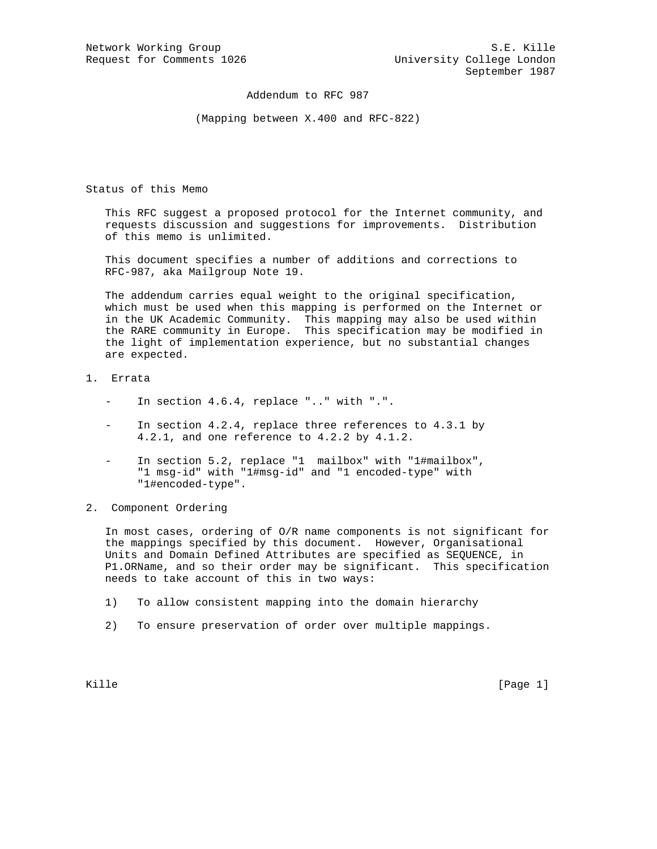Addendum to RFC 987

(Mapping between X.400 and RFC-822)

Status of this Memo

 This RFC suggest a proposed protocol for the Internet community, and requests discussion and suggestions for improvements. Distribution of this memo is unlimited.

 This document specifies a number of additions and corrections to RFC-987, aka Mailgroup Note 19.

 The addendum carries equal weight to the original specification, which must be used when this mapping is performed on the Internet or in the UK Academic Community. This mapping may also be used within the RARE community in Europe. This specification may be modified in the light of implementation experience, but no substantial changes are expected.

## 1. Errata

- In section 4.6.4, replace ".." with ".".
- In section  $4.2.4$ , replace three references to  $4.3.1$  by 4.2.1, and one reference to 4.2.2 by 4.1.2.
- In section 5.2, replace "1 mailbox" with "1#mailbox", "1 msg-id" with "1#msg-id" and "1 encoded-type" with "1#encoded-type".
- 2. Component Ordering

 In most cases, ordering of O/R name components is not significant for the mappings specified by this document. However, Organisational Units and Domain Defined Attributes are specified as SEQUENCE, in P1.ORName, and so their order may be significant. This specification needs to take account of this in two ways:

- 1) To allow consistent mapping into the domain hierarchy
- 2) To ensure preservation of order over multiple mappings.

Kille [Page 1]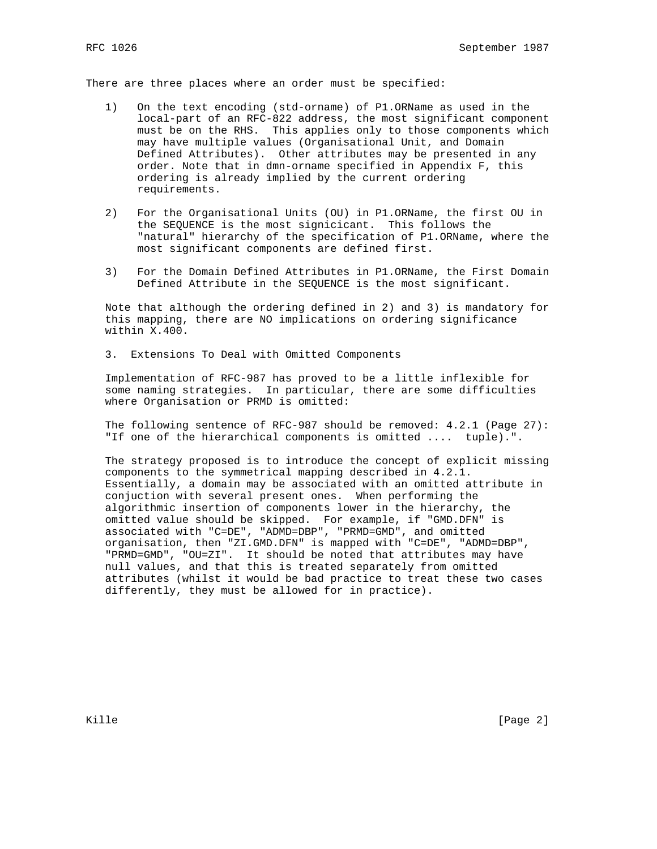There are three places where an order must be specified:

- 1) On the text encoding (std-orname) of P1.ORName as used in the local-part of an RFC-822 address, the most significant component must be on the RHS. This applies only to those components which may have multiple values (Organisational Unit, and Domain Defined Attributes). Other attributes may be presented in any order. Note that in dmn-orname specified in Appendix F, this ordering is already implied by the current ordering requirements.
- 2) For the Organisational Units (OU) in P1.ORName, the first OU in the SEQUENCE is the most signicicant. This follows the "natural" hierarchy of the specification of P1.ORName, where the most significant components are defined first.
- 3) For the Domain Defined Attributes in P1.ORName, the First Domain Defined Attribute in the SEQUENCE is the most significant.

 Note that although the ordering defined in 2) and 3) is mandatory for this mapping, there are NO implications on ordering significance within X.400.

3. Extensions To Deal with Omitted Components

 Implementation of RFC-987 has proved to be a little inflexible for some naming strategies. In particular, there are some difficulties where Organisation or PRMD is omitted:

 The following sentence of RFC-987 should be removed: 4.2.1 (Page 27): "If one of the hierarchical components is omitted .... tuple).".

 The strategy proposed is to introduce the concept of explicit missing components to the symmetrical mapping described in 4.2.1. Essentially, a domain may be associated with an omitted attribute in conjuction with several present ones. When performing the algorithmic insertion of components lower in the hierarchy, the omitted value should be skipped. For example, if "GMD.DFN" is associated with "C=DE", "ADMD=DBP", "PRMD=GMD", and omitted organisation, then "ZI.GMD.DFN" is mapped with "C=DE", "ADMD=DBP", "PRMD=GMD", "OU=ZI". It should be noted that attributes may have null values, and that this is treated separately from omitted attributes (whilst it would be bad practice to treat these two cases differently, they must be allowed for in practice).

Kille [Page 2]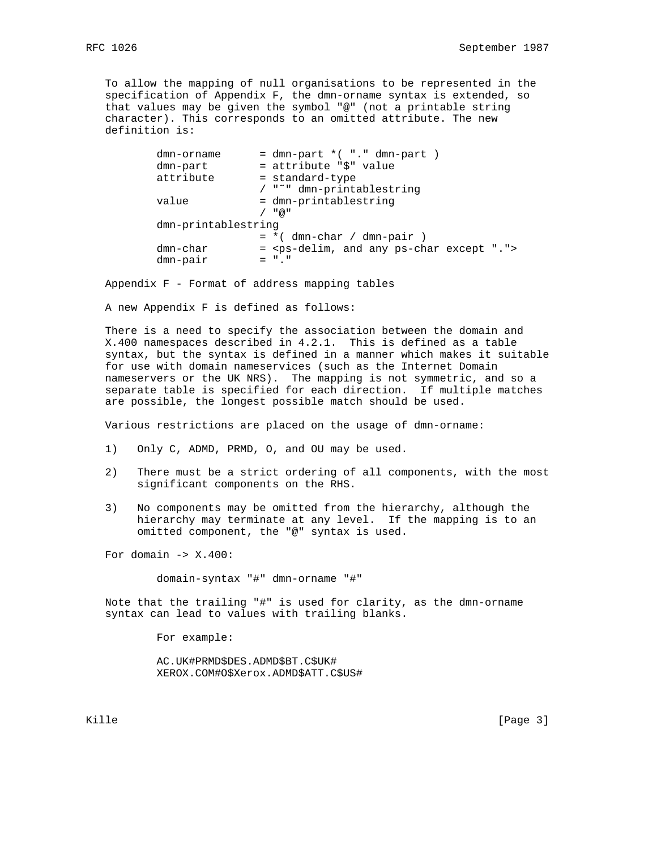To allow the mapping of null organisations to be represented in the specification of Appendix F, the dmn-orname syntax is extended, so that values may be given the symbol "@" (not a printable string character). This corresponds to an omitted attribute. The new definition is:

```
dmn-ormame = dmn-part * ("." dmn-part)
dmn-part = attribute "$" value
 attribute = standard-type
             / "˜" dmn-printablestring
value = dmn-printablestring
            / "@"
 dmn-printablestring
            = * ( dmn-char / dmn-pair )
dmn-char = 
dmn-pair
```
Appendix F - Format of address mapping tables

A new Appendix F is defined as follows:

 There is a need to specify the association between the domain and X.400 namespaces described in 4.2.1. This is defined as a table syntax, but the syntax is defined in a manner which makes it suitable for use with domain nameservices (such as the Internet Domain nameservers or the UK NRS). The mapping is not symmetric, and so a separate table is specified for each direction. If multiple matches are possible, the longest possible match should be used.

Various restrictions are placed on the usage of dmn-orname:

- 1) Only C, ADMD, PRMD, O, and OU may be used.
- 2) There must be a strict ordering of all components, with the most significant components on the RHS.
- 3) No components may be omitted from the hierarchy, although the hierarchy may terminate at any level. If the mapping is to an omitted component, the "@" syntax is used.

For domain  $\rightarrow$  X.400:

domain-syntax "#" dmn-orname "#"

 Note that the trailing "#" is used for clarity, as the dmn-orname syntax can lead to values with trailing blanks.

For example:

 AC.UK#PRMD\$DES.ADMD\$BT.C\$UK# XEROX.COM#O\$Xerox.ADMD\$ATT.C\$US#

Kille [Page 3]